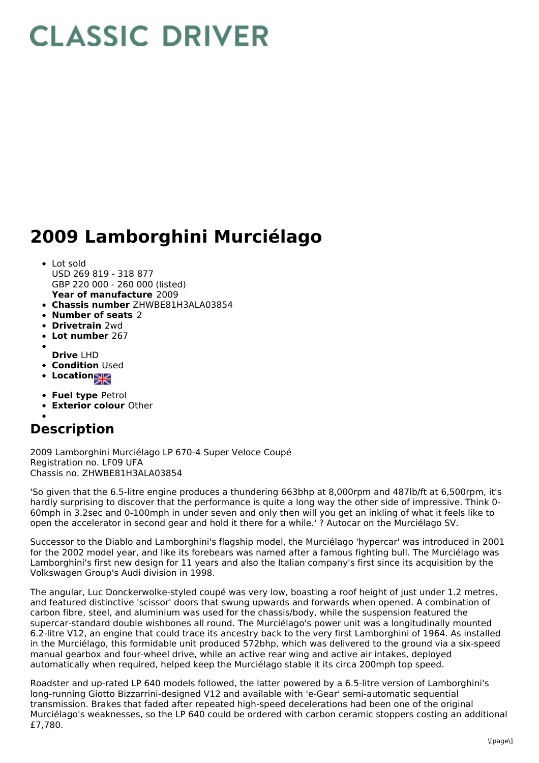## **CLASSIC DRIVER**

## **2009 Lamborghini Murciélago**

- **Year of manufacture** 2009 • Lot sold USD 269 819 - 318 877 GBP 220 000 - 260 000 (listed)
- **Chassis number** ZHWBE81H3ALA03854
- **Number of seats** 2
- **Drivetrain** 2wd
- **Lot number** 267
- 
- **Drive** LHD **Condition** Used
- 
- **Locationsz**
- **Fuel type** Petrol
- **Exterior colour** Other

## **Description**

2009 Lamborghini Murciélago LP 670-4 Super Veloce Coupé Registration no. LF09 UFA Chassis no. ZHWBE81H3ALA03854

'So given that the 6.5-litre engine produces a thundering 663bhp at 8,000rpm and 487lb/ft at 6,500rpm, it's hardly surprising to discover that the performance is quite a long way the other side of impressive. Think 0- 60mph in 3.2sec and 0-100mph in under seven and only then will you get an inkling of what it feels like to open the accelerator in second gear and hold it there for a while.' ? Autocar on the Murciélago SV.

Successor to the Diablo and Lamborghini's flagship model, the Murciélago 'hypercar' was introduced in 2001 for the 2002 model year, and like its forebears was named after a famous fighting bull. The Murciélago was Lamborghini's first new design for 11 years and also the Italian company's first since its acquisition by the Volkswagen Group's Audi division in 1998.

The angular, Luc Donckerwolke-styled coupé was very low, boasting a roof height of just under 1.2 metres, and featured distinctive 'scissor' doors that swung upwards and forwards when opened. A combination of carbon fibre, steel, and aluminium was used for the chassis/body, while the suspension featured the supercar-standard double wishbones all round. The Murciélago's power unit was a longitudinally mounted 6.2-litre V12, an engine that could trace its ancestry back to the very first Lamborghini of 1964. As installed in the Murciélago, this formidable unit produced 572bhp, which was delivered to the ground via a six-speed manual gearbox and four-wheel drive, while an active rear wing and active air intakes, deployed automatically when required, helped keep the Murciélago stable it its circa 200mph top speed.

Roadster and up-rated LP 640 models followed, the latter powered by a 6.5-litre version of Lamborghini's long-running Giotto Bizzarrini-designed V12 and available with 'e-Gear' semi-automatic sequential transmission. Brakes that faded after repeated high-speed decelerations had been one of the original Murciélago's weaknesses, so the LP 640 could be ordered with carbon ceramic stoppers costing an additional £7,780.